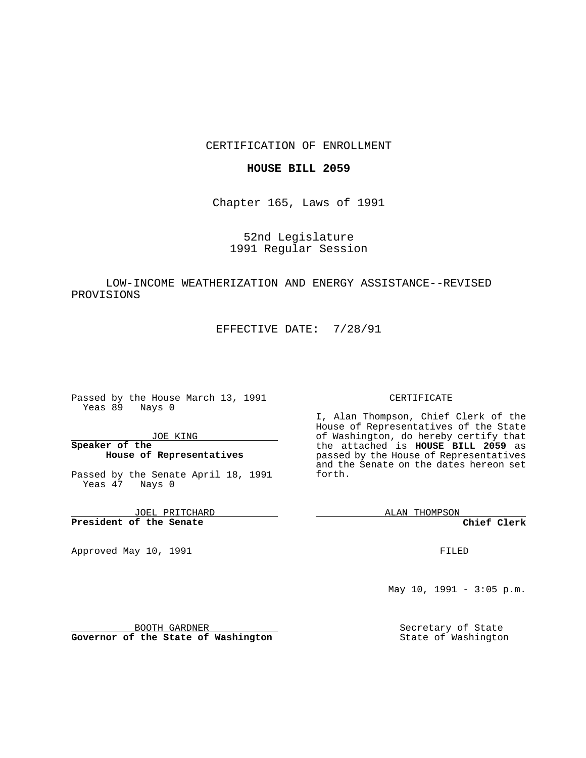## CERTIFICATION OF ENROLLMENT

### **HOUSE BILL 2059**

Chapter 165, Laws of 1991

52nd Legislature 1991 Regular Session

# LOW-INCOME WEATHERIZATION AND ENERGY ASSISTANCE--REVISED PROVISIONS

EFFECTIVE DATE: 7/28/91

Passed by the House March 13, 1991 Yeas 89 Nays 0

JOE KING

## **Speaker of the House of Representatives**

Passed by the Senate April 18, 1991 Yeas 47 Nays 0

JOEL PRITCHARD **President of the Senate**

Approved May 10, 1991

#### CERTIFICATE

I, Alan Thompson, Chief Clerk of the House of Representatives of the State of Washington, do hereby certify that the attached is **HOUSE BILL 2059** as passed by the House of Representatives and the Senate on the dates hereon set forth.

ALAN THOMPSON

**Chief Clerk**

FILED

May 10, 1991 - 3:05 p.m.

Secretary of State State of Washington

BOOTH GARDNER **Governor of the State of Washington**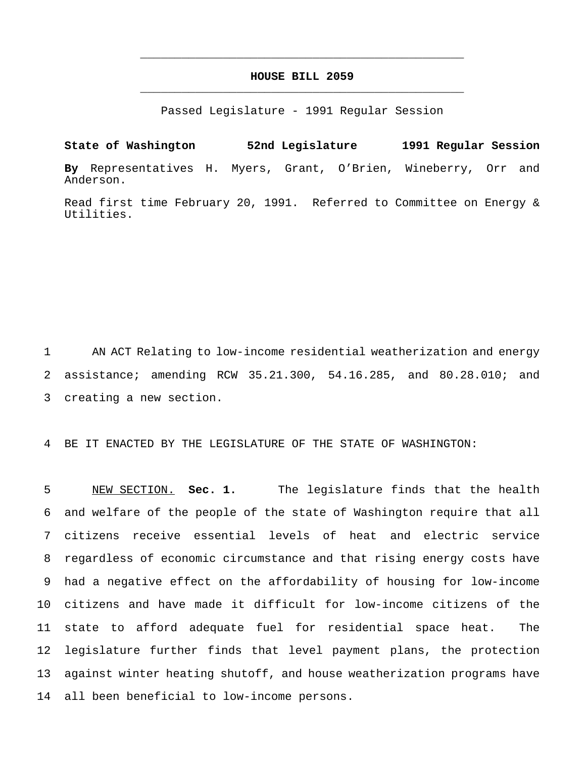# **HOUSE BILL 2059** \_\_\_\_\_\_\_\_\_\_\_\_\_\_\_\_\_\_\_\_\_\_\_\_\_\_\_\_\_\_\_\_\_\_\_\_\_\_\_\_\_\_\_\_\_\_\_

\_\_\_\_\_\_\_\_\_\_\_\_\_\_\_\_\_\_\_\_\_\_\_\_\_\_\_\_\_\_\_\_\_\_\_\_\_\_\_\_\_\_\_\_\_\_\_

Passed Legislature - 1991 Regular Session

**State of Washington 52nd Legislature 1991 Regular Session By** Representatives H. Myers, Grant, O'Brien, Wineberry, Orr and Anderson.

Read first time February 20, 1991. Referred to Committee on Energy & Utilities.

 AN ACT Relating to low-income residential weatherization and energy assistance; amending RCW 35.21.300, 54.16.285, and 80.28.010; and creating a new section.

BE IT ENACTED BY THE LEGISLATURE OF THE STATE OF WASHINGTON:

 NEW SECTION. **Sec. 1.** The legislature finds that the health and welfare of the people of the state of Washington require that all citizens receive essential levels of heat and electric service regardless of economic circumstance and that rising energy costs have had a negative effect on the affordability of housing for low-income citizens and have made it difficult for low-income citizens of the state to afford adequate fuel for residential space heat. The legislature further finds that level payment plans, the protection against winter heating shutoff, and house weatherization programs have all been beneficial to low-income persons.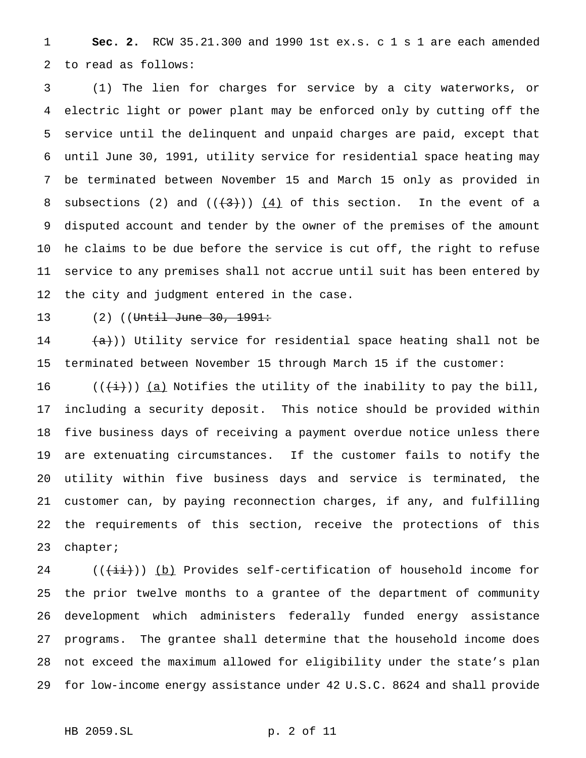**Sec. 2.** RCW 35.21.300 and 1990 1st ex.s. c 1 s 1 are each amended to read as follows:

 (1) The lien for charges for service by a city waterworks, or electric light or power plant may be enforced only by cutting off the service until the delinquent and unpaid charges are paid, except that until June 30, 1991, utility service for residential space heating may be terminated between November 15 and March 15 only as provided in 8 subsections (2) and  $((+3))$   $(4)$  of this section. In the event of a disputed account and tender by the owner of the premises of the amount he claims to be due before the service is cut off, the right to refuse service to any premises shall not accrue until suit has been entered by the city and judgment entered in the case.

# 13 (2) ((Until June 30, 1991:

14  $(a)$ )) Utility service for residential space heating shall not be terminated between November 15 through March 15 if the customer:

16 (( $\frac{1}{(i+1)}$ ) <u>(a)</u> Notifies the utility of the inability to pay the bill, including a security deposit. This notice should be provided within five business days of receiving a payment overdue notice unless there are extenuating circumstances. If the customer fails to notify the utility within five business days and service is terminated, the customer can, by paying reconnection charges, if any, and fulfilling the requirements of this section, receive the protections of this chapter;

 $((\overrightarrow{ii})$ ) (b) Provides self-certification of household income for the prior twelve months to a grantee of the department of community development which administers federally funded energy assistance programs. The grantee shall determine that the household income does not exceed the maximum allowed for eligibility under the state's plan for low-income energy assistance under 42 U.S.C. 8624 and shall provide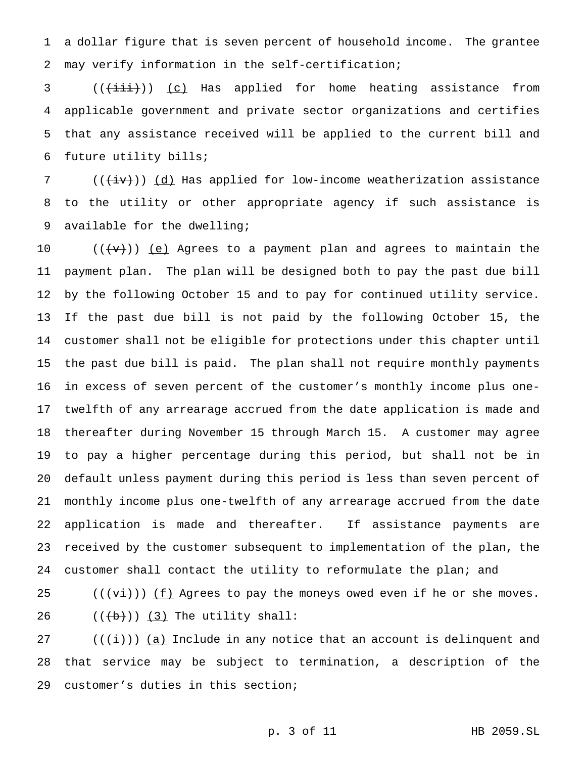a dollar figure that is seven percent of household income. The grantee may verify information in the self-certification;

3 (( $\overleftrightarrow{(\text{+i}})$ ) (c) Has applied for home heating assistance from applicable government and private sector organizations and certifies that any assistance received will be applied to the current bill and future utility bills;

7 ( $(\overleftrightarrow{iv})$ )  $(d)$  Has applied for low-income weatherization assistance to the utility or other appropriate agency if such assistance is available for the dwelling;

 $((\{v\}) \leq)$  Agrees to a payment plan and agrees to maintain the payment plan. The plan will be designed both to pay the past due bill by the following October 15 and to pay for continued utility service. If the past due bill is not paid by the following October 15, the customer shall not be eligible for protections under this chapter until the past due bill is paid. The plan shall not require monthly payments in excess of seven percent of the customer's monthly income plus one- twelfth of any arrearage accrued from the date application is made and thereafter during November 15 through March 15. A customer may agree to pay a higher percentage during this period, but shall not be in default unless payment during this period is less than seven percent of monthly income plus one-twelfth of any arrearage accrued from the date application is made and thereafter. If assistance payments are received by the customer subsequent to implementation of the plan, the 24 customer shall contact the utility to reformulate the plan; and

25 ( $(\overleftrightarrow{t})$ ) <u>(f)</u> Agrees to pay the moneys owed even if he or she moves. 26  $((+b))$  (3) The utility shall:

27 ( $(\frac{1}{i})$ ) (a) Include in any notice that an account is delinquent and that service may be subject to termination, a description of the customer's duties in this section;

p. 3 of 11 HB 2059.SL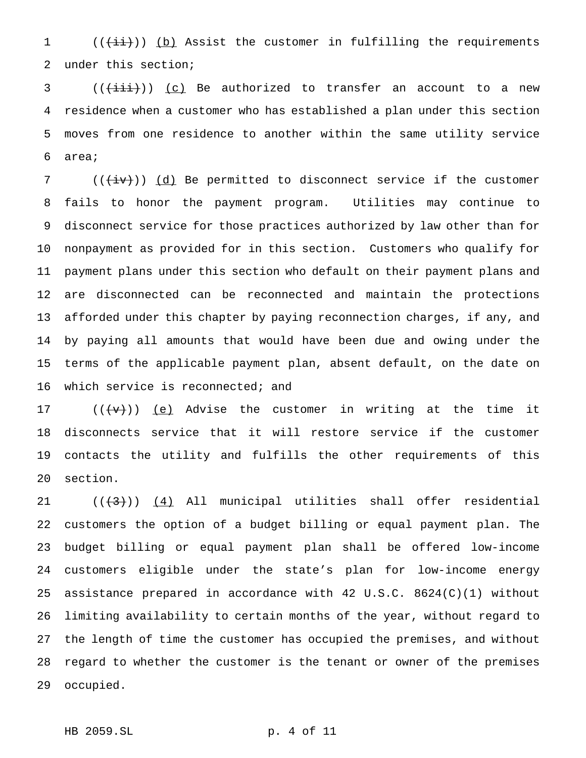1 (( $\frac{1}{1}$ )) (b) Assist the customer in fulfilling the requirements under this section;

 (( $\overrightarrow{(\text{+i.i.)}})$  <u>(c)</u> Be authorized to transfer an account to a new residence when a customer who has established a plan under this section moves from one residence to another within the same utility service area;

7 ( $(\overleftrightarrow{iv})$ ) (d) Be permitted to disconnect service if the customer fails to honor the payment program. Utilities may continue to disconnect service for those practices authorized by law other than for nonpayment as provided for in this section. Customers who qualify for payment plans under this section who default on their payment plans and are disconnected can be reconnected and maintain the protections afforded under this chapter by paying reconnection charges, if any, and by paying all amounts that would have been due and owing under the terms of the applicable payment plan, absent default, on the date on 16 which service is reconnected; and

 $((\{v\})$  ( $(e)$  Advise the customer in writing at the time it disconnects service that it will restore service if the customer contacts the utility and fulfills the other requirements of this section.

 $((+3))$   $(4)$  All municipal utilities shall offer residential customers the option of a budget billing or equal payment plan. The budget billing or equal payment plan shall be offered low-income customers eligible under the state's plan for low-income energy assistance prepared in accordance with 42 U.S.C. 8624(C)(1) without limiting availability to certain months of the year, without regard to the length of time the customer has occupied the premises, and without regard to whether the customer is the tenant or owner of the premises occupied.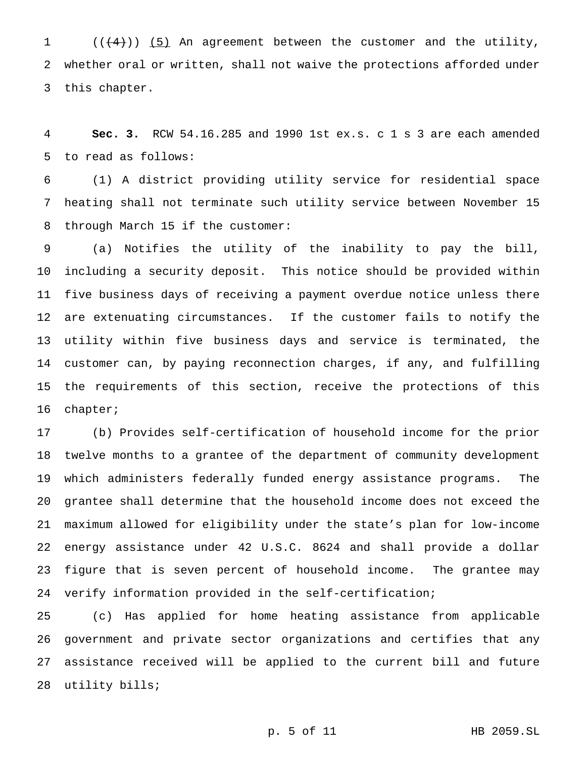(( $(4)$ )) (5) An agreement between the customer and the utility, whether oral or written, shall not waive the protections afforded under this chapter.

 **Sec. 3.** RCW 54.16.285 and 1990 1st ex.s. c 1 s 3 are each amended to read as follows:

 (1) A district providing utility service for residential space heating shall not terminate such utility service between November 15 through March 15 if the customer:

 (a) Notifies the utility of the inability to pay the bill, including a security deposit. This notice should be provided within five business days of receiving a payment overdue notice unless there are extenuating circumstances. If the customer fails to notify the utility within five business days and service is terminated, the customer can, by paying reconnection charges, if any, and fulfilling the requirements of this section, receive the protections of this chapter;

 (b) Provides self-certification of household income for the prior twelve months to a grantee of the department of community development which administers federally funded energy assistance programs. The grantee shall determine that the household income does not exceed the maximum allowed for eligibility under the state's plan for low-income energy assistance under 42 U.S.C. 8624 and shall provide a dollar figure that is seven percent of household income. The grantee may verify information provided in the self-certification;

 (c) Has applied for home heating assistance from applicable government and private sector organizations and certifies that any assistance received will be applied to the current bill and future utility bills;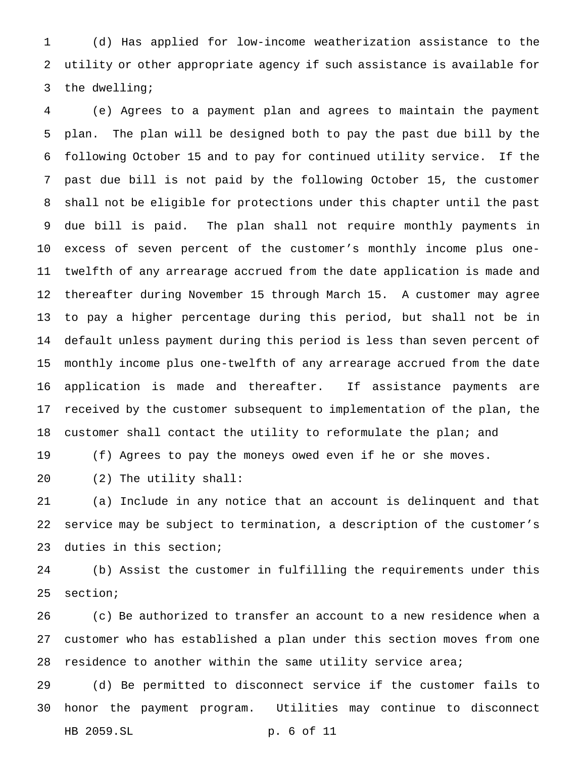(d) Has applied for low-income weatherization assistance to the utility or other appropriate agency if such assistance is available for the dwelling;

 (e) Agrees to a payment plan and agrees to maintain the payment plan. The plan will be designed both to pay the past due bill by the following October 15 and to pay for continued utility service. If the past due bill is not paid by the following October 15, the customer shall not be eligible for protections under this chapter until the past due bill is paid. The plan shall not require monthly payments in excess of seven percent of the customer's monthly income plus one- twelfth of any arrearage accrued from the date application is made and thereafter during November 15 through March 15. A customer may agree to pay a higher percentage during this period, but shall not be in default unless payment during this period is less than seven percent of monthly income plus one-twelfth of any arrearage accrued from the date application is made and thereafter. If assistance payments are received by the customer subsequent to implementation of the plan, the customer shall contact the utility to reformulate the plan; and

(f) Agrees to pay the moneys owed even if he or she moves.

(2) The utility shall:

 (a) Include in any notice that an account is delinquent and that service may be subject to termination, a description of the customer's duties in this section;

 (b) Assist the customer in fulfilling the requirements under this section;

 (c) Be authorized to transfer an account to a new residence when a customer who has established a plan under this section moves from one 28 residence to another within the same utility service area;

 (d) Be permitted to disconnect service if the customer fails to honor the payment program. Utilities may continue to disconnect HB 2059.SL p. 6 of 11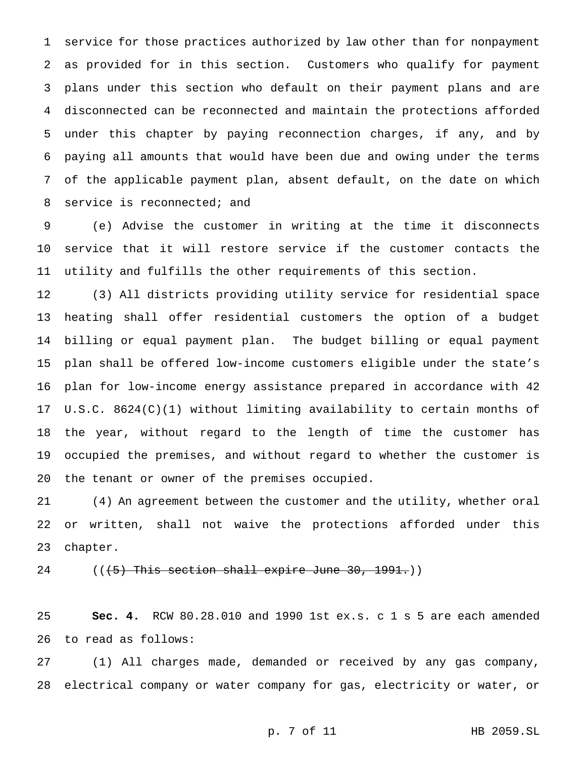service for those practices authorized by law other than for nonpayment as provided for in this section. Customers who qualify for payment plans under this section who default on their payment plans and are disconnected can be reconnected and maintain the protections afforded under this chapter by paying reconnection charges, if any, and by paying all amounts that would have been due and owing under the terms of the applicable payment plan, absent default, on the date on which service is reconnected; and

 (e) Advise the customer in writing at the time it disconnects service that it will restore service if the customer contacts the utility and fulfills the other requirements of this section.

 (3) All districts providing utility service for residential space heating shall offer residential customers the option of a budget billing or equal payment plan. The budget billing or equal payment plan shall be offered low-income customers eligible under the state's plan for low-income energy assistance prepared in accordance with 42 U.S.C. 8624(C)(1) without limiting availability to certain months of the year, without regard to the length of time the customer has occupied the premises, and without regard to whether the customer is the tenant or owner of the premises occupied.

 (4) An agreement between the customer and the utility, whether oral or written, shall not waive the protections afforded under this chapter.

 $((+5)$  This section shall expire June 30, 1991.)

 **Sec. 4.** RCW 80.28.010 and 1990 1st ex.s. c 1 s 5 are each amended to read as follows:

 (1) All charges made, demanded or received by any gas company, electrical company or water company for gas, electricity or water, or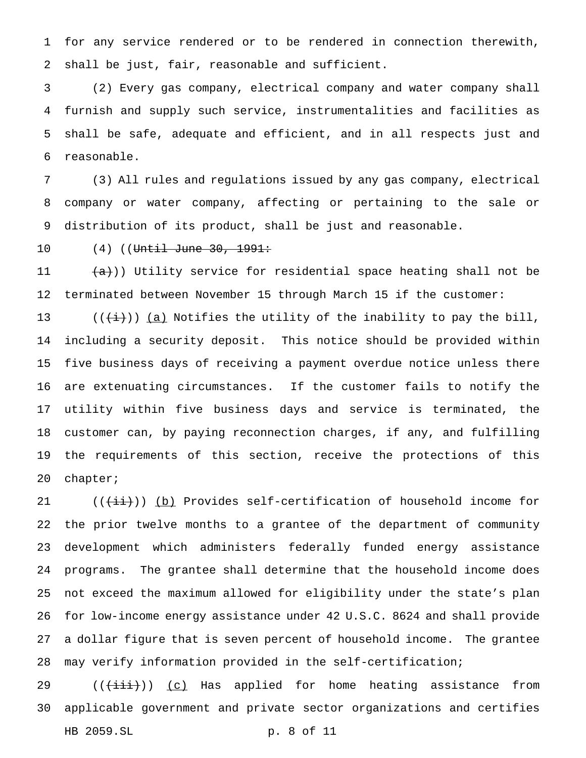for any service rendered or to be rendered in connection therewith, shall be just, fair, reasonable and sufficient.

 (2) Every gas company, electrical company and water company shall furnish and supply such service, instrumentalities and facilities as shall be safe, adequate and efficient, and in all respects just and reasonable.

 (3) All rules and regulations issued by any gas company, electrical company or water company, affecting or pertaining to the sale or distribution of its product, shall be just and reasonable.

10 (4) ((Until June 30, 1991:

 $(a+)$ ) Utility service for residential space heating shall not be terminated between November 15 through March 15 if the customer:

13 (( $(\frac{1}{(i+1)})$  <u>(a)</u> Notifies the utility of the inability to pay the bill, including a security deposit. This notice should be provided within five business days of receiving a payment overdue notice unless there are extenuating circumstances. If the customer fails to notify the utility within five business days and service is terminated, the customer can, by paying reconnection charges, if any, and fulfilling the requirements of this section, receive the protections of this chapter;

 $((\overrightarrow{ii})$ ) (b) Provides self-certification of household income for the prior twelve months to a grantee of the department of community development which administers federally funded energy assistance programs. The grantee shall determine that the household income does not exceed the maximum allowed for eligibility under the state's plan for low-income energy assistance under 42 U.S.C. 8624 and shall provide a dollar figure that is seven percent of household income. The grantee may verify information provided in the self-certification;

29  $((\overrightarrow{\text{init}}))$  (c) Has applied for home heating assistance from applicable government and private sector organizations and certifies HB 2059.SL p. 8 of 11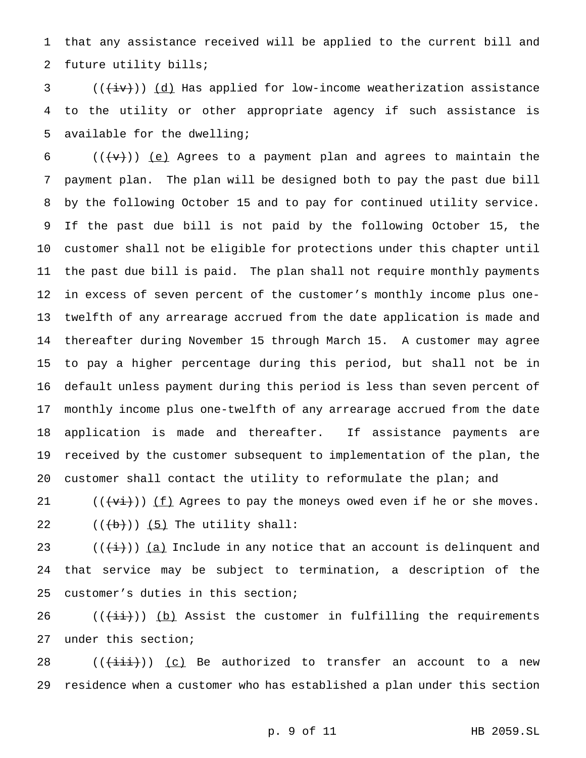that any assistance received will be applied to the current bill and future utility bills;

 (( $\overline{(+i\cdot)}$ )) <u>(d)</u> Has applied for low-income weatherization assistance to the utility or other appropriate agency if such assistance is available for the dwelling;

6 ( $(\{\text{+v}\})$ ) (e) Agrees to a payment plan and agrees to maintain the payment plan. The plan will be designed both to pay the past due bill by the following October 15 and to pay for continued utility service. If the past due bill is not paid by the following October 15, the customer shall not be eligible for protections under this chapter until the past due bill is paid. The plan shall not require monthly payments in excess of seven percent of the customer's monthly income plus one- twelfth of any arrearage accrued from the date application is made and thereafter during November 15 through March 15. A customer may agree to pay a higher percentage during this period, but shall not be in default unless payment during this period is less than seven percent of monthly income plus one-twelfth of any arrearage accrued from the date application is made and thereafter. If assistance payments are received by the customer subsequent to implementation of the plan, the customer shall contact the utility to reformulate the plan; and

 $((\forall i))(f)$  Agrees to pay the moneys owed even if he or she moves.  $((+b))$   $(5)$  The utility shall:

23 ( $(\frac{1}{i})$ ) (a) Include in any notice that an account is delinquent and that service may be subject to termination, a description of the customer's duties in this section;

 $((\overrightarrow{i}i))$  (b) Assist the customer in fulfilling the requirements under this section;

 $((\overrightarrow{\text{iii}}))$  (c) Be authorized to transfer an account to a new residence when a customer who has established a plan under this section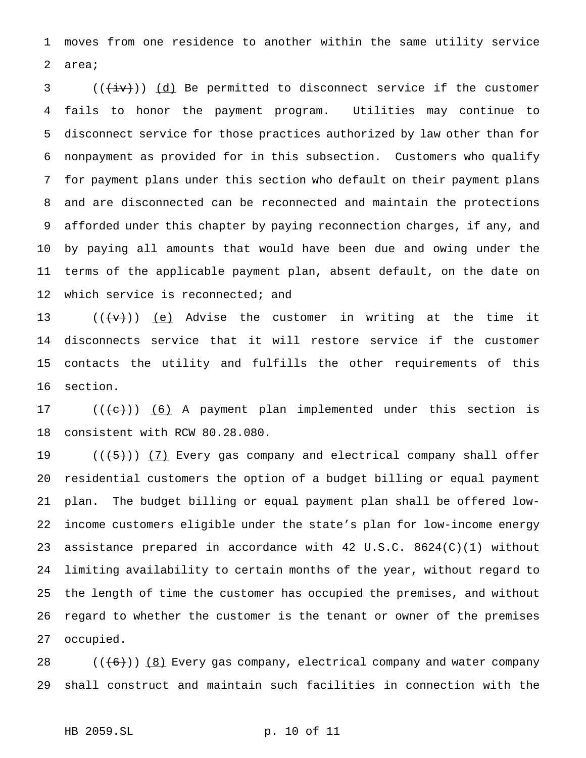moves from one residence to another within the same utility service area;

 (( $\overline{(+iv)}$ )) <u>(d)</u> Be permitted to disconnect service if the customer fails to honor the payment program. Utilities may continue to disconnect service for those practices authorized by law other than for nonpayment as provided for in this subsection. Customers who qualify for payment plans under this section who default on their payment plans and are disconnected can be reconnected and maintain the protections afforded under this chapter by paying reconnection charges, if any, and by paying all amounts that would have been due and owing under the terms of the applicable payment plan, absent default, on the date on 12 which service is reconnected; and

 $((\forall \forall))$  (e) Advise the customer in writing at the time it disconnects service that it will restore service if the customer contacts the utility and fulfills the other requirements of this section.

17  $((+e))$   $(6)$  A payment plan implemented under this section is consistent with RCW 80.28.080.

 $((+5))$   $(7)$  Every gas company and electrical company shall offer residential customers the option of a budget billing or equal payment plan. The budget billing or equal payment plan shall be offered low- income customers eligible under the state's plan for low-income energy assistance prepared in accordance with 42 U.S.C. 8624(C)(1) without limiting availability to certain months of the year, without regard to the length of time the customer has occupied the premises, and without regard to whether the customer is the tenant or owner of the premises occupied.

 $((+6))$   $(8)$  Every gas company, electrical company and water company shall construct and maintain such facilities in connection with the

HB 2059.SL p. 10 of 11